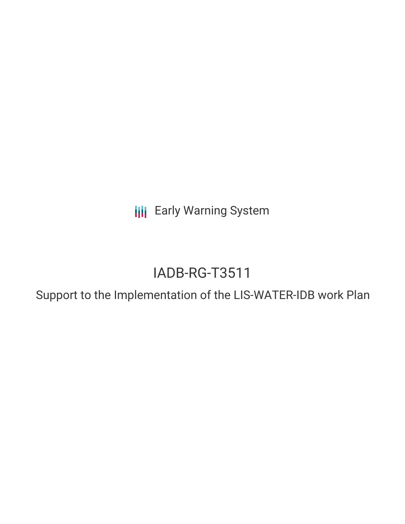**III** Early Warning System

# IADB-RG-T3511

Support to the Implementation of the LIS-WATER-IDB work Plan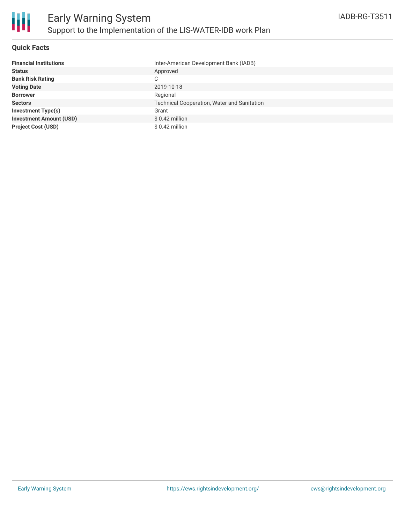

#### **Quick Facts**

| <b>Financial Institutions</b>  | Inter-American Development Bank (IADB)             |
|--------------------------------|----------------------------------------------------|
| <b>Status</b>                  | Approved                                           |
| <b>Bank Risk Rating</b>        | C                                                  |
| <b>Voting Date</b>             | 2019-10-18                                         |
| <b>Borrower</b>                | Regional                                           |
| <b>Sectors</b>                 | <b>Technical Cooperation, Water and Sanitation</b> |
| <b>Investment Type(s)</b>      | Grant                                              |
| <b>Investment Amount (USD)</b> | \$ 0.42 million                                    |
| <b>Project Cost (USD)</b>      | \$0.42 million                                     |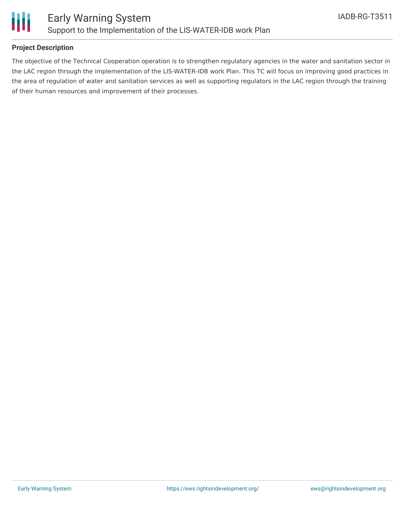

### **Project Description**

The objective of the Technical Cooperation operation is to strengthen regulatory agencies in the water and sanitation sector in the LAC region through the implementation of the LIS-WATER-IDB work Plan. This TC will focus on improving good practices in the area of regulation of water and sanitation services as well as supporting regulators in the LAC region through the training of their human resources and improvement of their processes.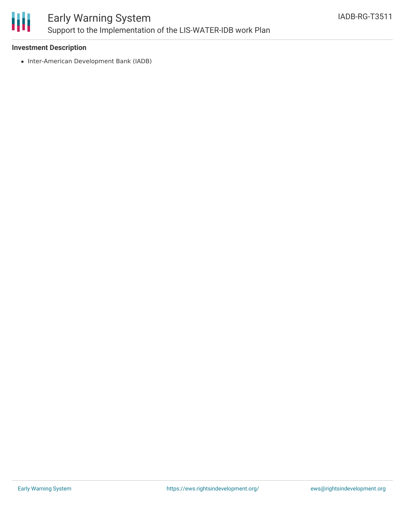

# Early Warning System Support to the Implementation of the LIS-WATER-IDB work Plan

#### **Investment Description**

• Inter-American Development Bank (IADB)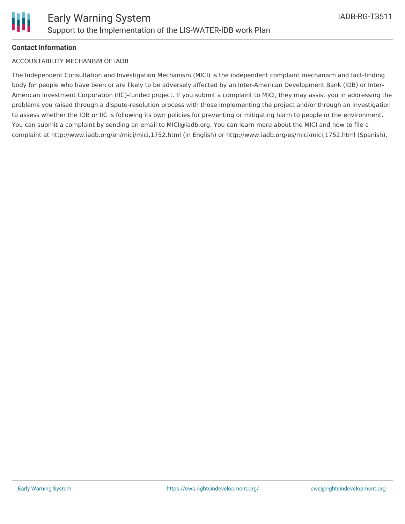## **Contact Information**

#### ACCOUNTABILITY MECHANISM OF IADB

The Independent Consultation and Investigation Mechanism (MICI) is the independent complaint mechanism and fact-finding body for people who have been or are likely to be adversely affected by an Inter-American Development Bank (IDB) or Inter-American Investment Corporation (IIC)-funded project. If you submit a complaint to MICI, they may assist you in addressing the problems you raised through a dispute-resolution process with those implementing the project and/or through an investigation to assess whether the IDB or IIC is following its own policies for preventing or mitigating harm to people or the environment. You can submit a complaint by sending an email to MICI@iadb.org. You can learn more about the MICI and how to file a complaint at http://www.iadb.org/en/mici/mici,1752.html (in English) or http://www.iadb.org/es/mici/mici,1752.html (Spanish).